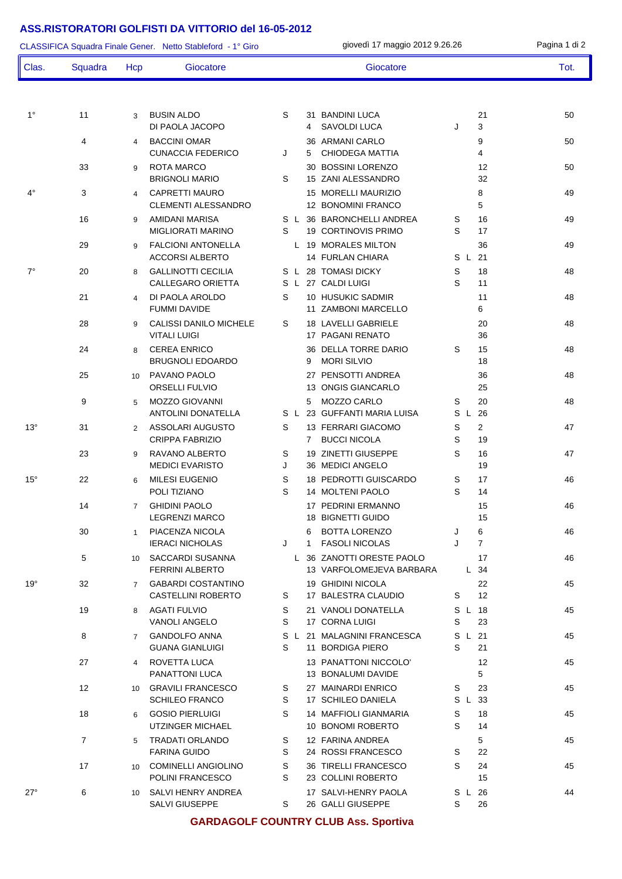## **ASS.RISTORATORI GOLFISTI DA VITTORIO del 16-05-2012**

|              | Squadra<br>11  |                | CLASSIFICA Squadra Finale Gener. Netto Stableford - 1° Giro | giovedì 17 maggio 2012 9.26.26 |                  |                                                         |          |  |                         | Pagina 1 di 2 |
|--------------|----------------|----------------|-------------------------------------------------------------|--------------------------------|------------------|---------------------------------------------------------|----------|--|-------------------------|---------------|
| Clas.        |                | Hcp            | Giocatore                                                   |                                |                  | Giocatore                                               |          |  |                         | Tot.          |
| $1^{\circ}$  |                | 3              | <b>BUSIN ALDO</b><br>DI PAOLA JACOPO                        | S                              | 31<br>4          | <b>BANDINI LUCA</b><br><b>SAVOLDI LUCA</b>              | J        |  | 21<br>3                 | 50            |
|              | 4              | 4              | <b>BACCINI OMAR</b><br><b>CUNACCIA FEDERICO</b>             | J                              | 5                | 36 ARMANI CARLO<br><b>CHIODEGA MATTIA</b>               |          |  | 9<br>4                  | 50            |
|              | 33             | 9              | <b>ROTA MARCO</b><br><b>BRIGNOLI MARIO</b>                  | S                              |                  | 30 BOSSINI LORENZO<br>15 ZANI ALESSANDRO                |          |  | 12<br>32                | 50            |
| $4^{\circ}$  | 3              | 4              | <b>CAPRETTI MAURO</b><br><b>CLEMENTI ALESSANDRO</b>         |                                |                  | <b>15 MORELLI MAURIZIO</b><br>12 BONOMINI FRANCO        |          |  | 8<br>5                  | 49            |
|              | 16             | 9              | AMIDANI MARISA<br><b>MIGLIORATI MARINO</b>                  | S<br>S                         |                  | L 36 BARONCHELLI ANDREA<br>19 CORTINOVIS PRIMO          | S<br>S   |  | 16<br>17                | 49            |
|              | 29             | 9              | <b>FALCIONI ANTONELLA</b><br><b>ACCORSI ALBERTO</b>         |                                |                  | L 19 MORALES MILTON<br>14 FURLAN CHIARA                 | S L      |  | 36<br>21                | 49            |
| $7^\circ$    | 20             | 8              | <b>GALLINOTTI CECILIA</b><br><b>CALLEGARO ORIETTA</b>       | S                              |                  | S L 28 TOMASI DICKY<br>L 27 CALDI LUIGI                 | S<br>S   |  | 18<br>11                | 48            |
|              | 21             | 4              | DI PAOLA AROLDO<br><b>FUMMI DAVIDE</b>                      | S                              | 11               | 10 HUSUKIC SADMIR<br><b>ZAMBONI MARCELLO</b>            |          |  | 11<br>6                 | 48            |
|              | 28             | 9              | CALISSI DANILO MICHELE<br><b>VITALI LUIGI</b>               | S                              |                  | 18 LAVELLI GABRIELE<br>17 PAGANI RENATO                 |          |  | 20<br>36                | 48            |
|              | 24             | 8              | <b>CEREA ENRICO</b><br>BRUGNOLI EDOARDO                     |                                | 9                | 36 DELLA TORRE DARIO<br><b>MORI SILVIO</b>              | S        |  | 15<br>18                | 48            |
|              | 25             | 10             | PAVANO PAOLO<br>ORSELLI FULVIO                              |                                | 13               | 27 PENSOTTI ANDREA<br><b>ONGIS GIANCARLO</b>            |          |  | 36<br>25                | 48            |
|              | 9              | 5              | <b>MOZZO GIOVANNI</b><br><b>ANTOLINI DONATELLA</b>          |                                | 5                | <b>MOZZO CARLO</b><br>S L 23 GUFFANTI MARIA LUISA       | S<br>S L |  | 20<br>26                | 48            |
| $13^\circ$   | 31             | 2              | ASSOLARI AUGUSTO<br>CRIPPA FABRIZIO                         | S                              | 7                | 13 FERRARI GIACOMO<br><b>BUCCI NICOLA</b>               | S<br>S   |  | $\overline{2}$<br>19    | 47            |
|              | 23             | 9              | RAVANO ALBERTO<br><b>MEDICI EVARISTO</b>                    | S<br>J                         | 19               | ZINETTI GIUSEPPE<br>36 MEDICI ANGELO                    | S        |  | 16<br>19                | 47            |
| $15^{\circ}$ | 22             | 6              | <b>MILESI EUGENIO</b><br>POLI TIZIANO                       | S<br>S                         |                  | <b>18 PEDROTTI GUISCARDO</b><br><b>14 MOLTENI PAOLO</b> | S<br>S   |  | 17<br>14                | 46            |
|              | 14             | $\overline{7}$ | <b>GHIDINI PAOLO</b><br><b>LEGRENZI MARCO</b>               |                                |                  | 17 PEDRINI ERMANNO<br><b>18 BIGNETTI GUIDO</b>          |          |  | 15<br>15                | 46            |
|              | 30             | 1              | PIACENZA NICOLA<br><b>IERACI NICHOLAS</b>                   | J                              | 6<br>$\mathbf 1$ | <b>BOTTA LORENZO</b><br><b>FASOLI NICOLAS</b>           | J<br>J   |  | 6<br>$\overline{7}$     | 46            |
|              | 5              |                | 10 SACCARDI SUSANNA<br><b>FERRINI ALBERTO</b>               |                                |                  | L 36 ZANOTTI ORESTE PAOLO<br>13 VARFOLOMEJEVA BARBARA   |          |  | 17<br>L 34              | 46            |
| $19^{\circ}$ | 32             |                | 7 GABARDI COSTANTINO<br><b>CASTELLINI ROBERTO</b>           | S                              |                  | 19 GHIDINI NICOLA<br>17 BALESTRA CLAUDIO                | S        |  | 22<br>$12 \overline{ }$ | 45            |
|              | 19             | 8              | AGATI FULVIO<br><b>VANOLI ANGELO</b>                        | S<br>S                         |                  | 21 VANOLI DONATELLA<br>17 CORNA LUIGI                   | S        |  | S L 18<br>23            | 45            |
|              | 8              | $7^{\circ}$    | <b>GANDOLFO ANNA</b><br><b>GUANA GIANLUIGI</b>              | S                              |                  | S L 21 MALAGNINI FRANCESCA<br>11 BORDIGA PIERO          | S        |  | S L 21<br>21            | 45            |
|              | 27             | $\overline{4}$ | ROVETTA LUCA<br>PANATTONI LUCA                              |                                |                  | 13 PANATTONI NICCOLO'<br>13 BONALUMI DAVIDE             |          |  | 12<br>5                 | 45            |
|              | 12             | 10             | <b>GRAVILI FRANCESCO</b><br><b>SCHILEO FRANCO</b>           | S<br>S                         |                  | 27 MAINARDI ENRICO<br>17 SCHILEO DANIELA                | S        |  | 23<br>S L 33            | 45            |
|              | 18             | 6              | <b>GOSIO PIERLUIGI</b><br>UTZINGER MICHAEL                  | S                              |                  | 14 MAFFIOLI GIANMARIA<br>10 BONOMI ROBERTO              | S<br>S   |  | 18<br>14                | 45            |
|              | $\overline{7}$ | 5              | <b>TRADATI ORLANDO</b><br><b>FARINA GUIDO</b>               | S<br>S                         |                  | 12 FARINA ANDREA<br>24 ROSSI FRANCESCO                  | S        |  | 5<br>22                 | 45            |
|              | 17             | 10             | <b>COMINELLI ANGIOLINO</b><br>POLINI FRANCESCO              | S<br>S                         |                  | 36 TIRELLI FRANCESCO<br>23 COLLINI ROBERTO              | S        |  | 24<br>15                | 45            |
| $27^\circ$   | 6              | 10             | SALVI HENRY ANDREA<br>SALVI GIUSEPPE                        | S.                             |                  | 17 SALVI-HENRY PAOLA<br>26 GALLI GIUSEPPE               | S        |  | S L 26<br>26            | 44            |

## **GARDAGOLF COUNTRY CLUB Ass. Sportiva**